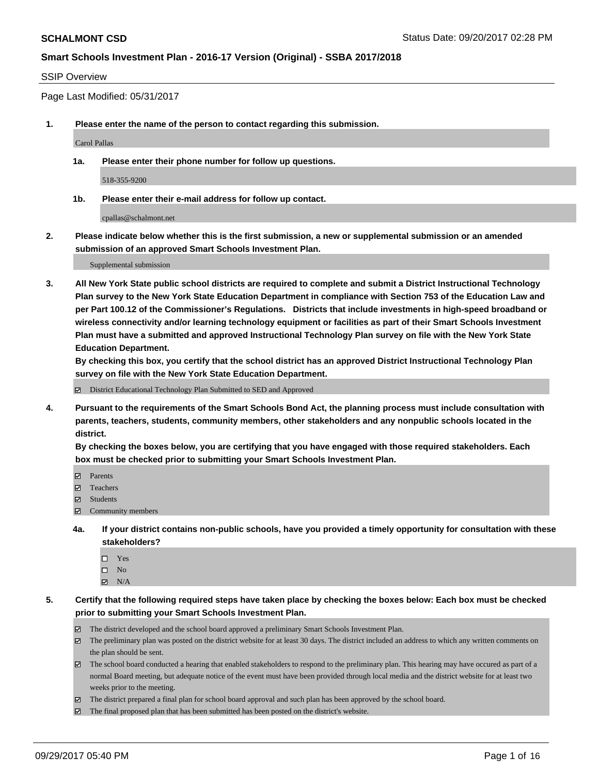#### SSIP Overview

Page Last Modified: 05/31/2017

**1. Please enter the name of the person to contact regarding this submission.**

Carol Pallas

**1a. Please enter their phone number for follow up questions.**

518-355-9200

**1b. Please enter their e-mail address for follow up contact.**

cpallas@schalmont.net

**2. Please indicate below whether this is the first submission, a new or supplemental submission or an amended submission of an approved Smart Schools Investment Plan.**

Supplemental submission

**3. All New York State public school districts are required to complete and submit a District Instructional Technology Plan survey to the New York State Education Department in compliance with Section 753 of the Education Law and per Part 100.12 of the Commissioner's Regulations. Districts that include investments in high-speed broadband or wireless connectivity and/or learning technology equipment or facilities as part of their Smart Schools Investment Plan must have a submitted and approved Instructional Technology Plan survey on file with the New York State Education Department.** 

**By checking this box, you certify that the school district has an approved District Instructional Technology Plan survey on file with the New York State Education Department.**

District Educational Technology Plan Submitted to SED and Approved

**4. Pursuant to the requirements of the Smart Schools Bond Act, the planning process must include consultation with parents, teachers, students, community members, other stakeholders and any nonpublic schools located in the district.** 

**By checking the boxes below, you are certifying that you have engaged with those required stakeholders. Each box must be checked prior to submitting your Smart Schools Investment Plan.**

- **マ** Parents
- Teachers
- **☑** Students
- $\Xi$  Community members
- **4a. If your district contains non-public schools, have you provided a timely opportunity for consultation with these stakeholders?**
	- □ Yes
	- $\square$  No
	- $\boxtimes$  N/A

**5. Certify that the following required steps have taken place by checking the boxes below: Each box must be checked prior to submitting your Smart Schools Investment Plan.**

- The district developed and the school board approved a preliminary Smart Schools Investment Plan.
- The preliminary plan was posted on the district website for at least 30 days. The district included an address to which any written comments on the plan should be sent.
- The school board conducted a hearing that enabled stakeholders to respond to the preliminary plan. This hearing may have occured as part of a normal Board meeting, but adequate notice of the event must have been provided through local media and the district website for at least two weeks prior to the meeting.
- The district prepared a final plan for school board approval and such plan has been approved by the school board.
- $\boxtimes$  The final proposed plan that has been submitted has been posted on the district's website.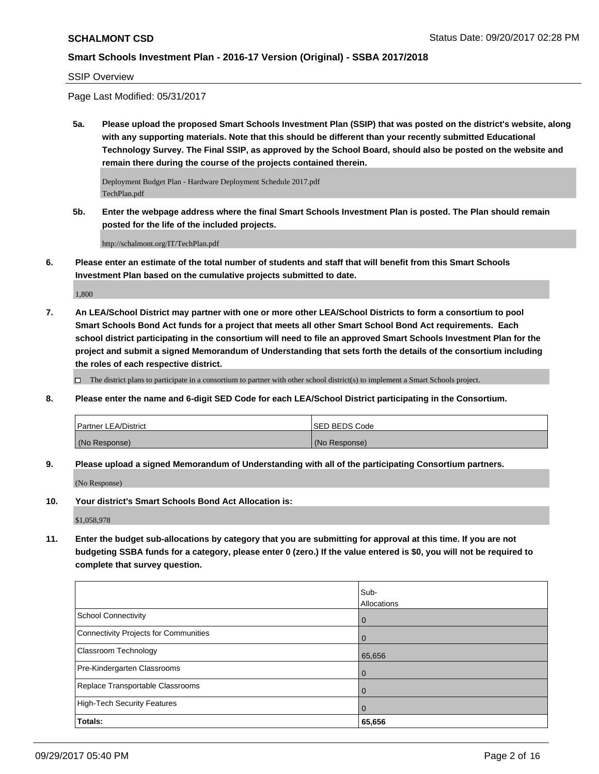#### SSIP Overview

Page Last Modified: 05/31/2017

**5a. Please upload the proposed Smart Schools Investment Plan (SSIP) that was posted on the district's website, along with any supporting materials. Note that this should be different than your recently submitted Educational Technology Survey. The Final SSIP, as approved by the School Board, should also be posted on the website and remain there during the course of the projects contained therein.**

Deployment Budget Plan - Hardware Deployment Schedule 2017.pdf TechPlan.pdf

**5b. Enter the webpage address where the final Smart Schools Investment Plan is posted. The Plan should remain posted for the life of the included projects.**

http://schalmont.org/IT/TechPlan.pdf

**6. Please enter an estimate of the total number of students and staff that will benefit from this Smart Schools Investment Plan based on the cumulative projects submitted to date.**

1,800

**7. An LEA/School District may partner with one or more other LEA/School Districts to form a consortium to pool Smart Schools Bond Act funds for a project that meets all other Smart School Bond Act requirements. Each school district participating in the consortium will need to file an approved Smart Schools Investment Plan for the project and submit a signed Memorandum of Understanding that sets forth the details of the consortium including the roles of each respective district.**

 $\Box$  The district plans to participate in a consortium to partner with other school district(s) to implement a Smart Schools project.

**8. Please enter the name and 6-digit SED Code for each LEA/School District participating in the Consortium.**

| <b>Partner LEA/District</b> | ISED BEDS Code |
|-----------------------------|----------------|
| (No Response)               | (No Response)  |

**9. Please upload a signed Memorandum of Understanding with all of the participating Consortium partners.**

(No Response)

**10. Your district's Smart Schools Bond Act Allocation is:**

\$1,058,978

**11. Enter the budget sub-allocations by category that you are submitting for approval at this time. If you are not budgeting SSBA funds for a category, please enter 0 (zero.) If the value entered is \$0, you will not be required to complete that survey question.**

|                                       | Sub-               |
|---------------------------------------|--------------------|
|                                       | <b>Allocations</b> |
| School Connectivity                   | l 0                |
| Connectivity Projects for Communities | $\overline{0}$     |
| <b>Classroom Technology</b>           | 65,656             |
| Pre-Kindergarten Classrooms           | l O                |
| Replace Transportable Classrooms      | $\Omega$           |
| High-Tech Security Features           | $\overline{0}$     |
| <b>Totals:</b>                        | 65,656             |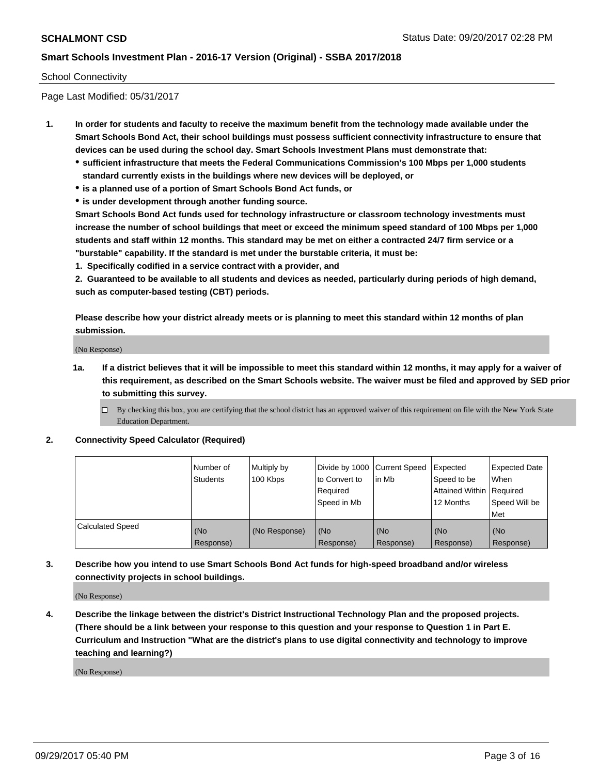#### School Connectivity

Page Last Modified: 05/31/2017

- **1. In order for students and faculty to receive the maximum benefit from the technology made available under the Smart Schools Bond Act, their school buildings must possess sufficient connectivity infrastructure to ensure that devices can be used during the school day. Smart Schools Investment Plans must demonstrate that:**
	- **sufficient infrastructure that meets the Federal Communications Commission's 100 Mbps per 1,000 students standard currently exists in the buildings where new devices will be deployed, or**
	- **is a planned use of a portion of Smart Schools Bond Act funds, or**
	- **is under development through another funding source.**

**Smart Schools Bond Act funds used for technology infrastructure or classroom technology investments must increase the number of school buildings that meet or exceed the minimum speed standard of 100 Mbps per 1,000 students and staff within 12 months. This standard may be met on either a contracted 24/7 firm service or a "burstable" capability. If the standard is met under the burstable criteria, it must be:**

**1. Specifically codified in a service contract with a provider, and**

**2. Guaranteed to be available to all students and devices as needed, particularly during periods of high demand, such as computer-based testing (CBT) periods.**

**Please describe how your district already meets or is planning to meet this standard within 12 months of plan submission.**

(No Response)

**1a. If a district believes that it will be impossible to meet this standard within 12 months, it may apply for a waiver of this requirement, as described on the Smart Schools website. The waiver must be filed and approved by SED prior to submitting this survey.**

**2. Connectivity Speed Calculator (Required)**

|                         | l Number of<br>Students | Multiply by<br>100 Kbps | Divide by 1000 Current Speed<br>to Convert to<br>Required<br>Speed in Mb | lin Mb           | Expected<br>Speed to be<br>Attained Within Required<br>12 Months | <b>Expected Date</b><br>When<br>Speed Will be<br>Met |
|-------------------------|-------------------------|-------------------------|--------------------------------------------------------------------------|------------------|------------------------------------------------------------------|------------------------------------------------------|
| <b>Calculated Speed</b> | (No<br>Response)        | (No Response)           | (No<br>Response)                                                         | (No<br>Response) | (No<br>Response)                                                 | (No<br>Response)                                     |

**3. Describe how you intend to use Smart Schools Bond Act funds for high-speed broadband and/or wireless connectivity projects in school buildings.**

(No Response)

**4. Describe the linkage between the district's District Instructional Technology Plan and the proposed projects. (There should be a link between your response to this question and your response to Question 1 in Part E. Curriculum and Instruction "What are the district's plans to use digital connectivity and technology to improve teaching and learning?)**

(No Response)

 $\Box$  By checking this box, you are certifying that the school district has an approved waiver of this requirement on file with the New York State Education Department.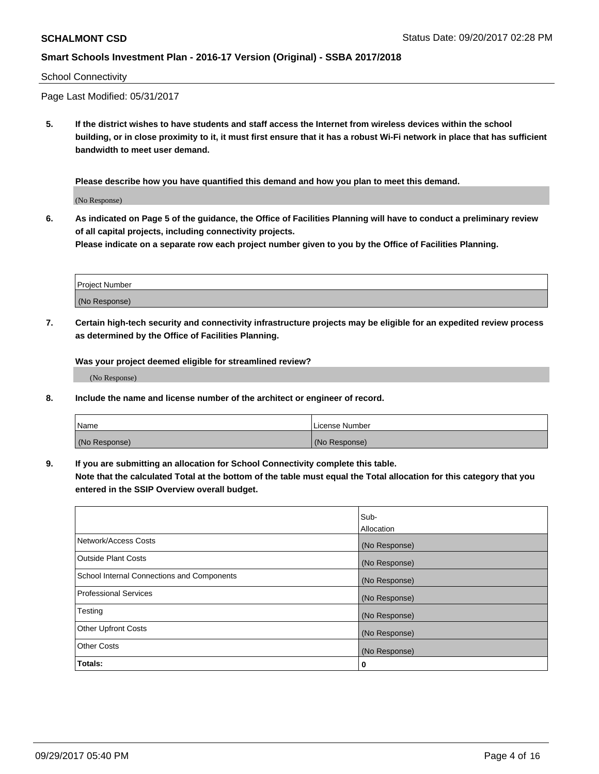#### School Connectivity

Page Last Modified: 05/31/2017

**5. If the district wishes to have students and staff access the Internet from wireless devices within the school building, or in close proximity to it, it must first ensure that it has a robust Wi-Fi network in place that has sufficient bandwidth to meet user demand.**

**Please describe how you have quantified this demand and how you plan to meet this demand.**

(No Response)

**6. As indicated on Page 5 of the guidance, the Office of Facilities Planning will have to conduct a preliminary review of all capital projects, including connectivity projects.**

**Please indicate on a separate row each project number given to you by the Office of Facilities Planning.**

| Project Number |  |
|----------------|--|
| (No Response)  |  |

**7. Certain high-tech security and connectivity infrastructure projects may be eligible for an expedited review process as determined by the Office of Facilities Planning.**

**Was your project deemed eligible for streamlined review?**

(No Response)

**8. Include the name and license number of the architect or engineer of record.**

| Name          | License Number |
|---------------|----------------|
| (No Response) | (No Response)  |

**9. If you are submitting an allocation for School Connectivity complete this table.**

**Note that the calculated Total at the bottom of the table must equal the Total allocation for this category that you entered in the SSIP Overview overall budget.** 

|                                            | Sub-          |
|--------------------------------------------|---------------|
|                                            | Allocation    |
| Network/Access Costs                       | (No Response) |
| Outside Plant Costs                        | (No Response) |
| School Internal Connections and Components | (No Response) |
| <b>Professional Services</b>               | (No Response) |
| Testing                                    | (No Response) |
| <b>Other Upfront Costs</b>                 | (No Response) |
| <b>Other Costs</b>                         | (No Response) |
| Totals:                                    | 0             |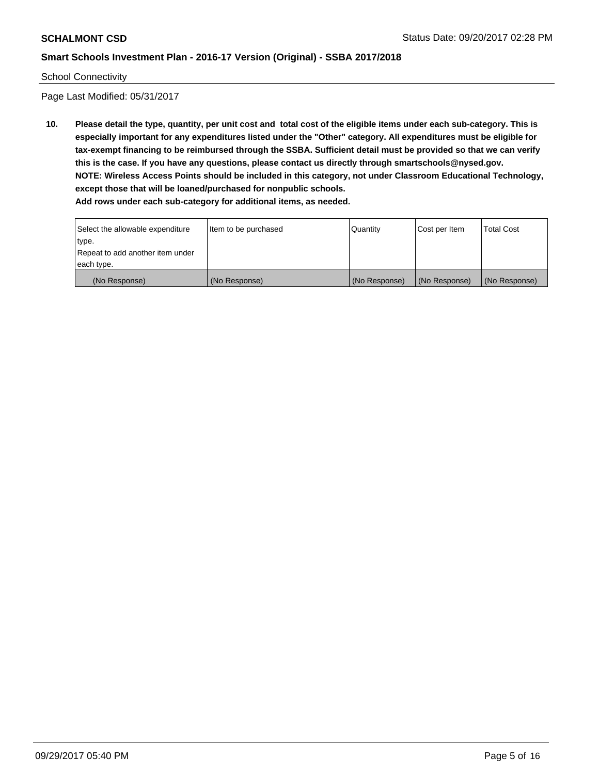#### School Connectivity

Page Last Modified: 05/31/2017

**10. Please detail the type, quantity, per unit cost and total cost of the eligible items under each sub-category. This is especially important for any expenditures listed under the "Other" category. All expenditures must be eligible for tax-exempt financing to be reimbursed through the SSBA. Sufficient detail must be provided so that we can verify this is the case. If you have any questions, please contact us directly through smartschools@nysed.gov. NOTE: Wireless Access Points should be included in this category, not under Classroom Educational Technology, except those that will be loaned/purchased for nonpublic schools.**

| Select the allowable expenditure | Item to be purchased | Quantity      | Cost per Item | Total Cost    |
|----------------------------------|----------------------|---------------|---------------|---------------|
| type.                            |                      |               |               |               |
| Repeat to add another item under |                      |               |               |               |
| each type.                       |                      |               |               |               |
| (No Response)                    | (No Response)        | (No Response) | (No Response) | (No Response) |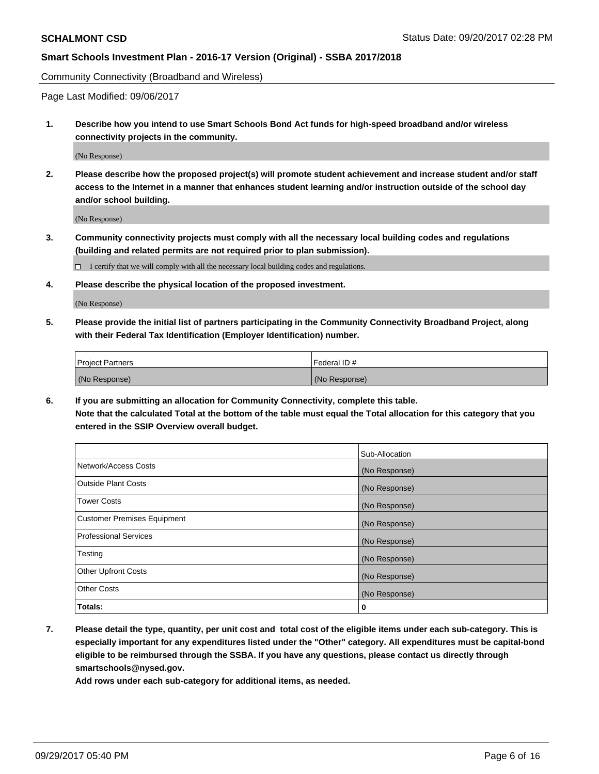Community Connectivity (Broadband and Wireless)

Page Last Modified: 09/06/2017

**1. Describe how you intend to use Smart Schools Bond Act funds for high-speed broadband and/or wireless connectivity projects in the community.**

(No Response)

**2. Please describe how the proposed project(s) will promote student achievement and increase student and/or staff access to the Internet in a manner that enhances student learning and/or instruction outside of the school day and/or school building.**

(No Response)

- **3. Community connectivity projects must comply with all the necessary local building codes and regulations (building and related permits are not required prior to plan submission).**
	- $\Box$  I certify that we will comply with all the necessary local building codes and regulations.
- **4. Please describe the physical location of the proposed investment.**

(No Response)

**5. Please provide the initial list of partners participating in the Community Connectivity Broadband Project, along with their Federal Tax Identification (Employer Identification) number.**

| <b>Project Partners</b> | l Federal ID # |
|-------------------------|----------------|
| (No Response)           | (No Response)  |

**6. If you are submitting an allocation for Community Connectivity, complete this table. Note that the calculated Total at the bottom of the table must equal the Total allocation for this category that you entered in the SSIP Overview overall budget.**

|                                    | Sub-Allocation |
|------------------------------------|----------------|
| Network/Access Costs               | (No Response)  |
| <b>Outside Plant Costs</b>         | (No Response)  |
| <b>Tower Costs</b>                 | (No Response)  |
| <b>Customer Premises Equipment</b> | (No Response)  |
| <b>Professional Services</b>       | (No Response)  |
| Testing                            | (No Response)  |
| <b>Other Upfront Costs</b>         | (No Response)  |
| <b>Other Costs</b>                 | (No Response)  |
| Totals:                            | 0              |

**7. Please detail the type, quantity, per unit cost and total cost of the eligible items under each sub-category. This is especially important for any expenditures listed under the "Other" category. All expenditures must be capital-bond eligible to be reimbursed through the SSBA. If you have any questions, please contact us directly through smartschools@nysed.gov.**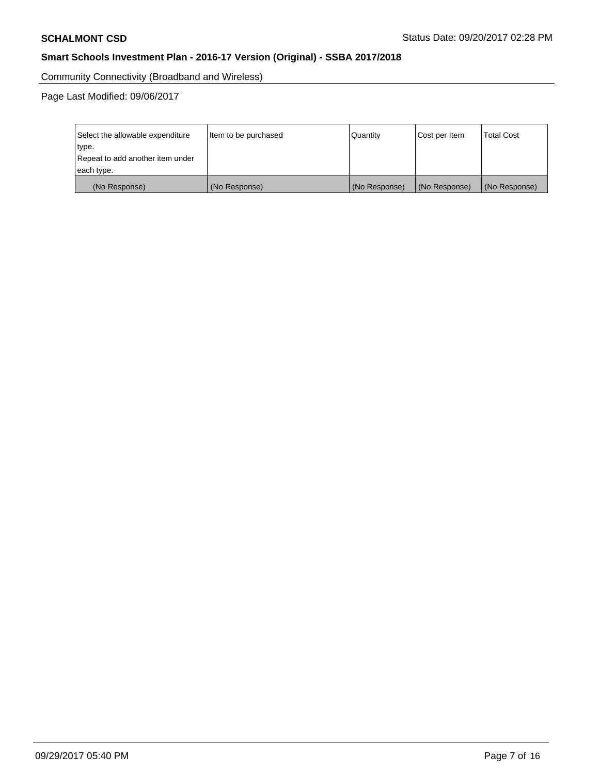Community Connectivity (Broadband and Wireless)

Page Last Modified: 09/06/2017

| Select the allowable expenditure | Item to be purchased | Quantity      | Cost per Item | <b>Total Cost</b> |
|----------------------------------|----------------------|---------------|---------------|-------------------|
| type.                            |                      |               |               |                   |
| Repeat to add another item under |                      |               |               |                   |
| each type.                       |                      |               |               |                   |
| (No Response)                    | (No Response)        | (No Response) | (No Response) | (No Response)     |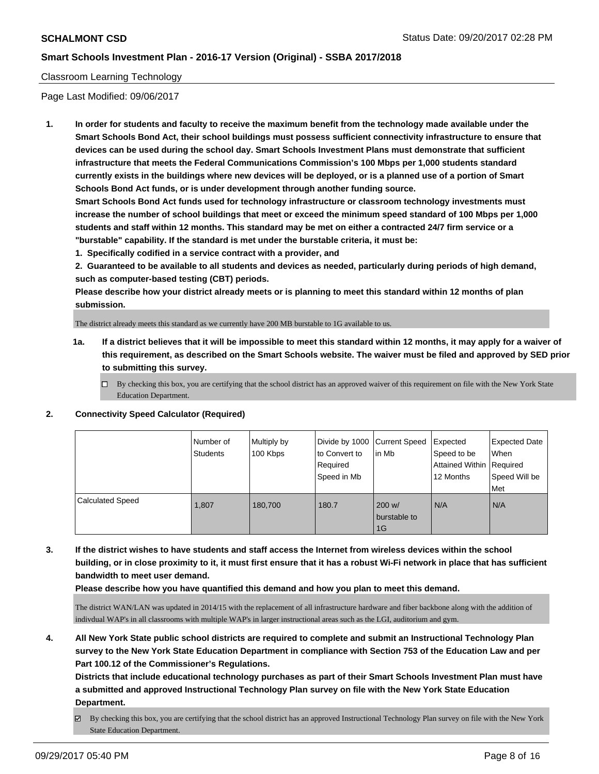### Classroom Learning Technology

Page Last Modified: 09/06/2017

**1. In order for students and faculty to receive the maximum benefit from the technology made available under the Smart Schools Bond Act, their school buildings must possess sufficient connectivity infrastructure to ensure that devices can be used during the school day. Smart Schools Investment Plans must demonstrate that sufficient infrastructure that meets the Federal Communications Commission's 100 Mbps per 1,000 students standard currently exists in the buildings where new devices will be deployed, or is a planned use of a portion of Smart Schools Bond Act funds, or is under development through another funding source.**

**Smart Schools Bond Act funds used for technology infrastructure or classroom technology investments must increase the number of school buildings that meet or exceed the minimum speed standard of 100 Mbps per 1,000 students and staff within 12 months. This standard may be met on either a contracted 24/7 firm service or a "burstable" capability. If the standard is met under the burstable criteria, it must be:**

**1. Specifically codified in a service contract with a provider, and**

**2. Guaranteed to be available to all students and devices as needed, particularly during periods of high demand, such as computer-based testing (CBT) periods.**

**Please describe how your district already meets or is planning to meet this standard within 12 months of plan submission.**

The district already meets this standard as we currently have 200 MB burstable to 1G available to us.

- **1a. If a district believes that it will be impossible to meet this standard within 12 months, it may apply for a waiver of this requirement, as described on the Smart Schools website. The waiver must be filed and approved by SED prior to submitting this survey.**
	- $\Box$  By checking this box, you are certifying that the school district has an approved waiver of this requirement on file with the New York State Education Department.
- **2. Connectivity Speed Calculator (Required)**

|                         | l Number of<br><b>Students</b> | Multiply by<br>100 Kbps | to Convert to<br>Required<br>Speed in Mb | Divide by 1000 Current Speed Expected<br>lin Mb | Speed to be<br><b>Attained Within Required</b><br>12 Months | <b>Expected Date</b><br>When<br>Speed Will be<br>Met |
|-------------------------|--------------------------------|-------------------------|------------------------------------------|-------------------------------------------------|-------------------------------------------------------------|------------------------------------------------------|
| <b>Calculated Speed</b> | 1.807                          | 180.700                 | 180.7                                    | 200 w/<br>burstable to<br>1G                    | N/A                                                         | N/A                                                  |

**3. If the district wishes to have students and staff access the Internet from wireless devices within the school building, or in close proximity to it, it must first ensure that it has a robust Wi-Fi network in place that has sufficient bandwidth to meet user demand.**

**Please describe how you have quantified this demand and how you plan to meet this demand.**

The district WAN/LAN was updated in 2014/15 with the replacement of all infrastructure hardware and fiber backbone along with the addition of indivdual WAP's in all classrooms with multiple WAP's in larger instructional areas such as the LGI, auditorium and gym.

**4. All New York State public school districts are required to complete and submit an Instructional Technology Plan survey to the New York State Education Department in compliance with Section 753 of the Education Law and per Part 100.12 of the Commissioner's Regulations.**

**Districts that include educational technology purchases as part of their Smart Schools Investment Plan must have a submitted and approved Instructional Technology Plan survey on file with the New York State Education Department.**

By checking this box, you are certifying that the school district has an approved Instructional Technology Plan survey on file with the New York State Education Department.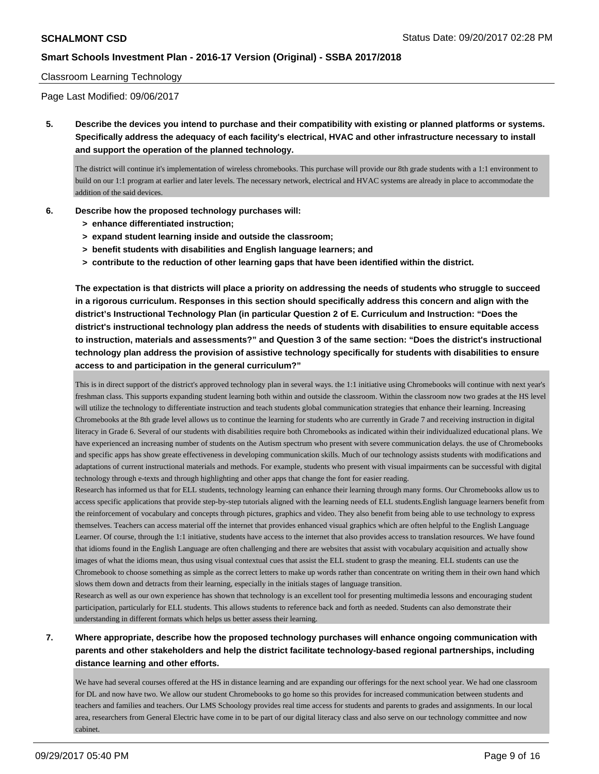#### Classroom Learning Technology

Page Last Modified: 09/06/2017

**5. Describe the devices you intend to purchase and their compatibility with existing or planned platforms or systems. Specifically address the adequacy of each facility's electrical, HVAC and other infrastructure necessary to install and support the operation of the planned technology.**

The district will continue it's implementation of wireless chromebooks. This purchase will provide our 8th grade students with a 1:1 environment to build on our 1:1 program at earlier and later levels. The necessary network, electrical and HVAC systems are already in place to accommodate the addition of the said devices.

- **6. Describe how the proposed technology purchases will:**
	- **> enhance differentiated instruction;**
	- **> expand student learning inside and outside the classroom;**
	- **> benefit students with disabilities and English language learners; and**
	- **> contribute to the reduction of other learning gaps that have been identified within the district.**

**The expectation is that districts will place a priority on addressing the needs of students who struggle to succeed in a rigorous curriculum. Responses in this section should specifically address this concern and align with the district's Instructional Technology Plan (in particular Question 2 of E. Curriculum and Instruction: "Does the district's instructional technology plan address the needs of students with disabilities to ensure equitable access to instruction, materials and assessments?" and Question 3 of the same section: "Does the district's instructional technology plan address the provision of assistive technology specifically for students with disabilities to ensure access to and participation in the general curriculum?"**

This is in direct support of the district's approved technology plan in several ways. the 1:1 initiative using Chromebooks will continue with next year's freshman class. This supports expanding student learning both within and outside the classroom. Within the classroom now two grades at the HS level will utilize the technology to differentiate instruction and teach students global communication strategies that enhance their learning. Increasing Chromebooks at the 8th grade level allows us to continue the learning for students who are currently in Grade 7 and receiving instruction in digital literacy in Grade 6. Several of our students with disabilities require both Chromebooks as indicated within their individualized educational plans. We have experienced an increasing number of students on the Autism spectrum who present with severe communication delays. the use of Chromebooks and specific apps has show greate effectiveness in developing communication skills. Much of our technology assists students with modifications and adaptations of current instructional materials and methods. For example, students who present with visual impairments can be successful with digital technology through e-texts and through highlighting and other apps that change the font for easier reading.

Research has informed us that for ELL students, technology learning can enhance their learning through many forms. Our Chromebooks allow us to access specific applications that provide step-by-step tutorials aligned with the learning needs of ELL students.English language learners benefit from the reinforcement of vocabulary and concepts through pictures, graphics and video. They also benefit from being able to use technology to express themselves. Teachers can access material off the internet that provides enhanced visual graphics which are often helpful to the English Language Learner. Of course, through the 1:1 initiative, students have access to the internet that also provides access to translation resources. We have found that idioms found in the English Language are often challenging and there are websites that assist with vocabulary acquisition and actually show images of what the idioms mean, thus using visual contextual cues that assist the ELL student to grasp the meaning. ELL students can use the Chromebook to choose something as simple as the correct letters to make up words rather than concentrate on writing them in their own hand which slows them down and detracts from their learning, especially in the initials stages of language transition.

Research as well as our own experience has shown that technology is an excellent tool for presenting multimedia lessons and encouraging student participation, particularly for ELL students. This allows students to reference back and forth as needed. Students can also demonstrate their understanding in different formats which helps us better assess their learning.

# **7. Where appropriate, describe how the proposed technology purchases will enhance ongoing communication with parents and other stakeholders and help the district facilitate technology-based regional partnerships, including distance learning and other efforts.**

We have had several courses offered at the HS in distance learning and are expanding our offerings for the next school year. We had one classroom for DL and now have two. We allow our student Chromebooks to go home so this provides for increased communication between students and teachers and families and teachers. Our LMS Schoology provides real time access for students and parents to grades and assignments. In our local area, researchers from General Electric have come in to be part of our digital literacy class and also serve on our technology committee and now cabinet.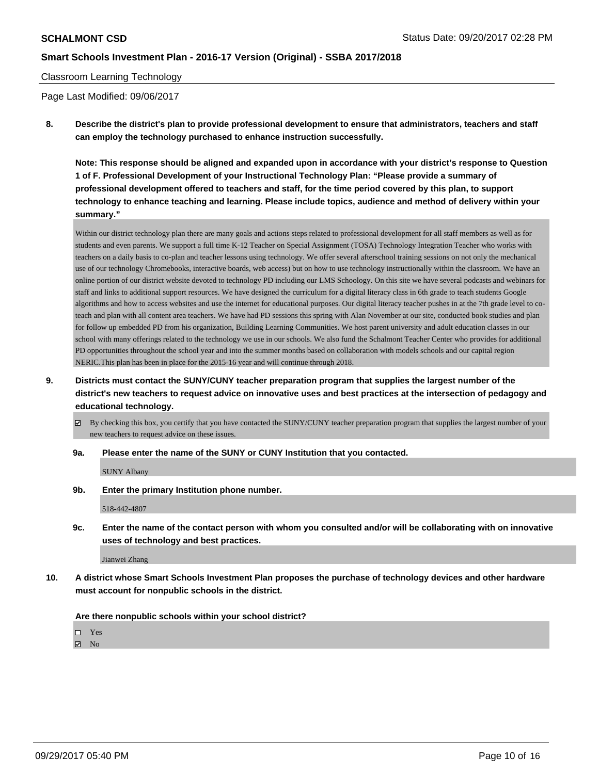#### Classroom Learning Technology

Page Last Modified: 09/06/2017

**8. Describe the district's plan to provide professional development to ensure that administrators, teachers and staff can employ the technology purchased to enhance instruction successfully.**

**Note: This response should be aligned and expanded upon in accordance with your district's response to Question 1 of F. Professional Development of your Instructional Technology Plan: "Please provide a summary of professional development offered to teachers and staff, for the time period covered by this plan, to support technology to enhance teaching and learning. Please include topics, audience and method of delivery within your summary."**

Within our district technology plan there are many goals and actions steps related to professional development for all staff members as well as for students and even parents. We support a full time K-12 Teacher on Special Assignment (TOSA) Technology Integration Teacher who works with teachers on a daily basis to co-plan and teacher lessons using technology. We offer several afterschool training sessions on not only the mechanical use of our technology Chromebooks, interactive boards, web access) but on how to use technology instructionally within the classroom. We have an online portion of our district website devoted to technology PD including our LMS Schoology. On this site we have several podcasts and webinars for staff and links to additional support resources. We have designed the curriculum for a digital literacy class in 6th grade to teach students Google algorithms and how to access websites and use the internet for educational purposes. Our digital literacy teacher pushes in at the 7th grade level to coteach and plan with all content area teachers. We have had PD sessions this spring with Alan November at our site, conducted book studies and plan for follow up embedded PD from his organization, Building Learning Communities. We host parent university and adult education classes in our school with many offerings related to the technology we use in our schools. We also fund the Schalmont Teacher Center who provides for additional PD opportunities throughout the school year and into the summer months based on collaboration with models schools and our capital region NERIC.This plan has been in place for the 2015-16 year and will continue through 2018.

- **9. Districts must contact the SUNY/CUNY teacher preparation program that supplies the largest number of the district's new teachers to request advice on innovative uses and best practices at the intersection of pedagogy and educational technology.**
	- $\boxtimes$  By checking this box, you certify that you have contacted the SUNY/CUNY teacher preparation program that supplies the largest number of your new teachers to request advice on these issues.
	- **9a. Please enter the name of the SUNY or CUNY Institution that you contacted.**

SUNY Albany

**9b. Enter the primary Institution phone number.**

518-442-4807

**9c. Enter the name of the contact person with whom you consulted and/or will be collaborating with on innovative uses of technology and best practices.**

Jianwei Zhang

**10. A district whose Smart Schools Investment Plan proposes the purchase of technology devices and other hardware must account for nonpublic schools in the district.**

**Are there nonpublic schools within your school district?**

Yes

 $\boxtimes$  No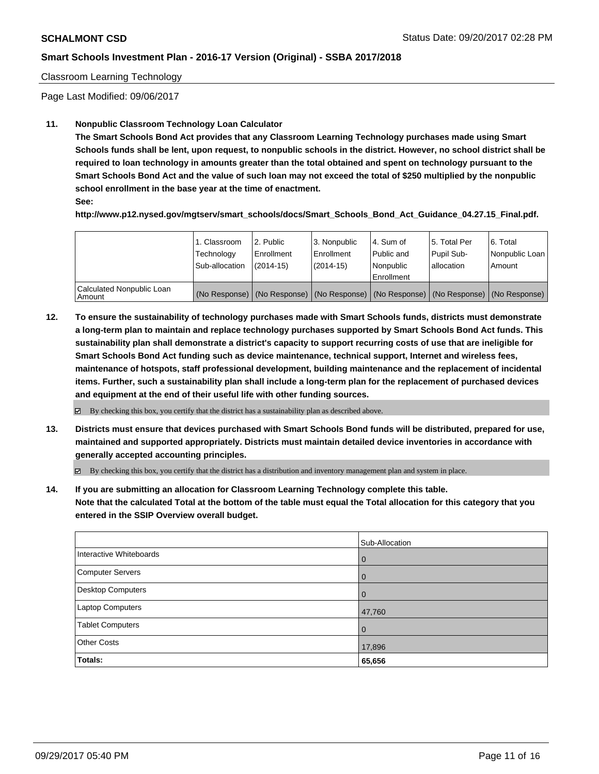#### Classroom Learning Technology

Page Last Modified: 09/06/2017

#### **11. Nonpublic Classroom Technology Loan Calculator**

**The Smart Schools Bond Act provides that any Classroom Learning Technology purchases made using Smart Schools funds shall be lent, upon request, to nonpublic schools in the district. However, no school district shall be required to loan technology in amounts greater than the total obtained and spent on technology pursuant to the Smart Schools Bond Act and the value of such loan may not exceed the total of \$250 multiplied by the nonpublic school enrollment in the base year at the time of enactment.**

**See:**

**http://www.p12.nysed.gov/mgtserv/smart\_schools/docs/Smart\_Schools\_Bond\_Act\_Guidance\_04.27.15\_Final.pdf.**

|                                       | 1. Classroom<br>Technology<br>Sub-allocation | 2. Public<br>l Enrollment<br>$(2014-15)$ | 3. Nonpublic<br>Enrollment<br>$(2014-15)$ | l 4. Sum of<br>Public and<br>l Nonpublic<br>l Enrollment | 15. Total Per<br>Pupil Sub-<br>lallocation | 6. Total<br>Nonpublic Loan<br>Amount                                                          |
|---------------------------------------|----------------------------------------------|------------------------------------------|-------------------------------------------|----------------------------------------------------------|--------------------------------------------|-----------------------------------------------------------------------------------------------|
| Calculated Nonpublic Loan<br>l Amount |                                              |                                          |                                           |                                                          |                                            | (No Response)   (No Response)   (No Response)   (No Response)   (No Response)   (No Response) |

**12. To ensure the sustainability of technology purchases made with Smart Schools funds, districts must demonstrate a long-term plan to maintain and replace technology purchases supported by Smart Schools Bond Act funds. This sustainability plan shall demonstrate a district's capacity to support recurring costs of use that are ineligible for Smart Schools Bond Act funding such as device maintenance, technical support, Internet and wireless fees, maintenance of hotspots, staff professional development, building maintenance and the replacement of incidental items. Further, such a sustainability plan shall include a long-term plan for the replacement of purchased devices and equipment at the end of their useful life with other funding sources.**

 $\boxtimes$  By checking this box, you certify that the district has a sustainability plan as described above.

**13. Districts must ensure that devices purchased with Smart Schools Bond funds will be distributed, prepared for use, maintained and supported appropriately. Districts must maintain detailed device inventories in accordance with generally accepted accounting principles.**

By checking this box, you certify that the district has a distribution and inventory management plan and system in place.

**14. If you are submitting an allocation for Classroom Learning Technology complete this table. Note that the calculated Total at the bottom of the table must equal the Total allocation for this category that you entered in the SSIP Overview overall budget.**

|                         | Sub-Allocation |
|-------------------------|----------------|
| Interactive Whiteboards | 0              |
| Computer Servers        | $\overline{0}$ |
| Desktop Computers       | $\overline{0}$ |
| Laptop Computers        | 47,760         |
| <b>Tablet Computers</b> | $\overline{0}$ |
| <b>Other Costs</b>      | 17,896         |
| Totals:                 | 65,656         |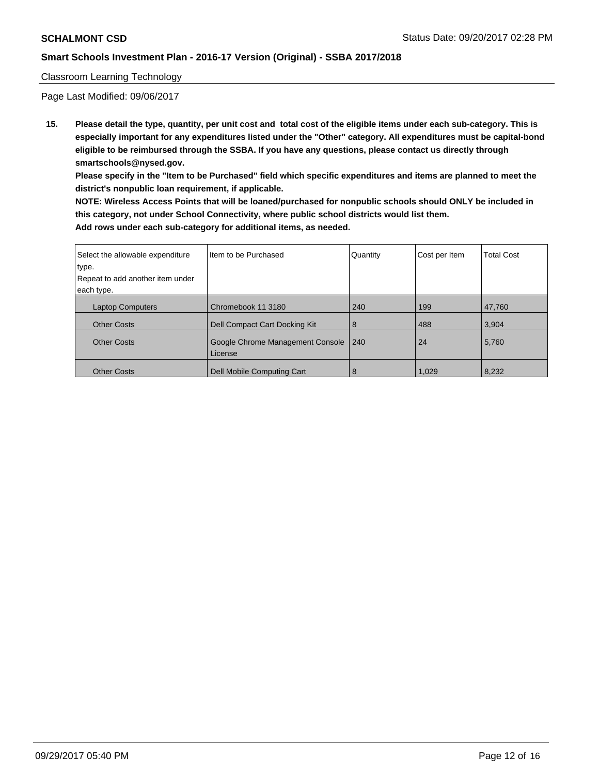#### Classroom Learning Technology

Page Last Modified: 09/06/2017

**15. Please detail the type, quantity, per unit cost and total cost of the eligible items under each sub-category. This is especially important for any expenditures listed under the "Other" category. All expenditures must be capital-bond eligible to be reimbursed through the SSBA. If you have any questions, please contact us directly through smartschools@nysed.gov.**

**Please specify in the "Item to be Purchased" field which specific expenditures and items are planned to meet the district's nonpublic loan requirement, if applicable.**

**NOTE: Wireless Access Points that will be loaned/purchased for nonpublic schools should ONLY be included in this category, not under School Connectivity, where public school districts would list them. Add rows under each sub-category for additional items, as needed.**

| Select the allowable expenditure | Iltem to be Purchased                       | Quantity | Cost per Item | <b>Total Cost</b> |
|----------------------------------|---------------------------------------------|----------|---------------|-------------------|
| type.                            |                                             |          |               |                   |
| Repeat to add another item under |                                             |          |               |                   |
| each type.                       |                                             |          |               |                   |
| <b>Laptop Computers</b>          | Chromebook 11 3180                          | 240      | 199           | 47.760            |
| <b>Other Costs</b>               | Dell Compact Cart Docking Kit               | 8        | 488           | 3,904             |
| <b>Other Costs</b>               | Google Chrome Management Console<br>License | 240      | 24            | 5,760             |
| <b>Other Costs</b>               | Dell Mobile Computing Cart                  | 8        | 1,029         | 8,232             |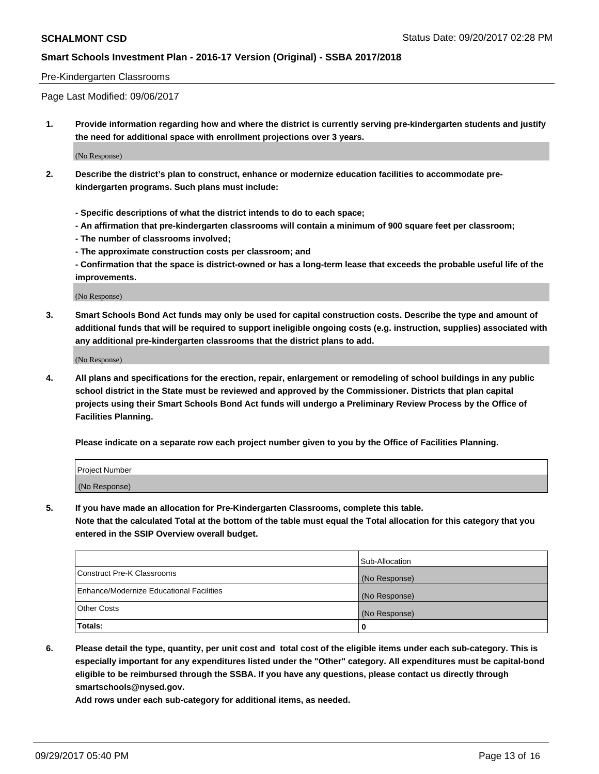#### Pre-Kindergarten Classrooms

Page Last Modified: 09/06/2017

**1. Provide information regarding how and where the district is currently serving pre-kindergarten students and justify the need for additional space with enrollment projections over 3 years.**

(No Response)

- **2. Describe the district's plan to construct, enhance or modernize education facilities to accommodate prekindergarten programs. Such plans must include:**
	- **Specific descriptions of what the district intends to do to each space;**
	- **An affirmation that pre-kindergarten classrooms will contain a minimum of 900 square feet per classroom;**
	- **The number of classrooms involved;**
	- **The approximate construction costs per classroom; and**
	- **Confirmation that the space is district-owned or has a long-term lease that exceeds the probable useful life of the improvements.**

(No Response)

**3. Smart Schools Bond Act funds may only be used for capital construction costs. Describe the type and amount of additional funds that will be required to support ineligible ongoing costs (e.g. instruction, supplies) associated with any additional pre-kindergarten classrooms that the district plans to add.**

(No Response)

**4. All plans and specifications for the erection, repair, enlargement or remodeling of school buildings in any public school district in the State must be reviewed and approved by the Commissioner. Districts that plan capital projects using their Smart Schools Bond Act funds will undergo a Preliminary Review Process by the Office of Facilities Planning.**

**Please indicate on a separate row each project number given to you by the Office of Facilities Planning.**

| Project Number |  |
|----------------|--|
| (No Response)  |  |

**5. If you have made an allocation for Pre-Kindergarten Classrooms, complete this table.**

**Note that the calculated Total at the bottom of the table must equal the Total allocation for this category that you entered in the SSIP Overview overall budget.**

|                                          | Sub-Allocation |
|------------------------------------------|----------------|
| Construct Pre-K Classrooms               | (No Response)  |
| Enhance/Modernize Educational Facilities | (No Response)  |
| <b>Other Costs</b>                       | (No Response)  |
| Totals:                                  | 0              |

**6. Please detail the type, quantity, per unit cost and total cost of the eligible items under each sub-category. This is especially important for any expenditures listed under the "Other" category. All expenditures must be capital-bond eligible to be reimbursed through the SSBA. If you have any questions, please contact us directly through smartschools@nysed.gov.**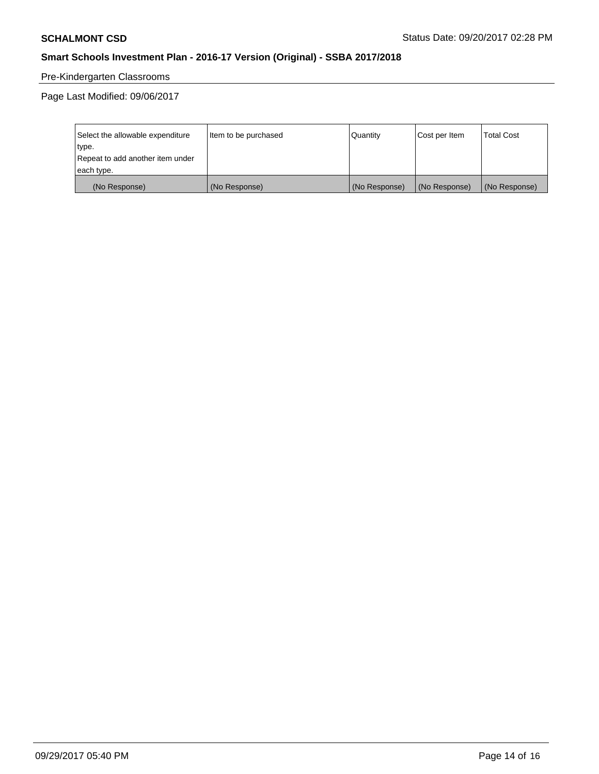# Pre-Kindergarten Classrooms

Page Last Modified: 09/06/2017

| Select the allowable expenditure | Item to be purchased | Quantity      | Cost per Item | <b>Total Cost</b> |
|----------------------------------|----------------------|---------------|---------------|-------------------|
| type.                            |                      |               |               |                   |
| Repeat to add another item under |                      |               |               |                   |
| each type.                       |                      |               |               |                   |
| (No Response)                    | (No Response)        | (No Response) | (No Response) | (No Response)     |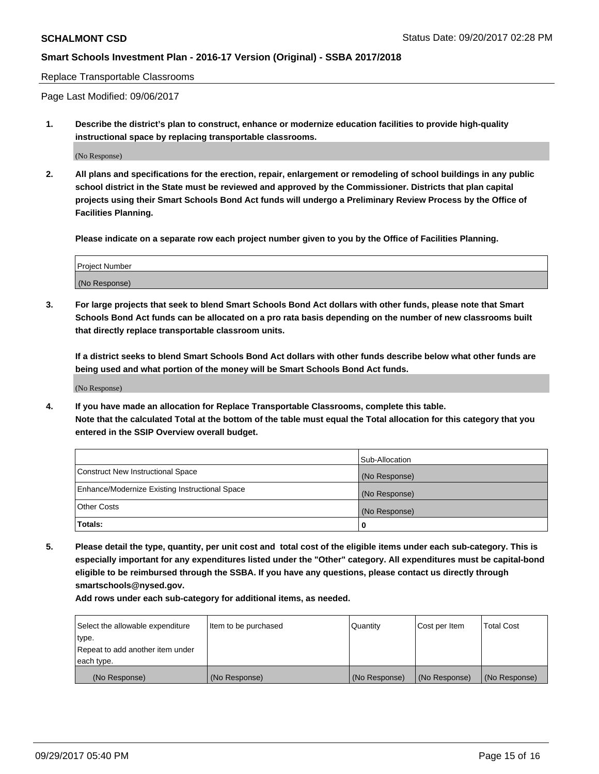Replace Transportable Classrooms

Page Last Modified: 09/06/2017

**1. Describe the district's plan to construct, enhance or modernize education facilities to provide high-quality instructional space by replacing transportable classrooms.**

(No Response)

**2. All plans and specifications for the erection, repair, enlargement or remodeling of school buildings in any public school district in the State must be reviewed and approved by the Commissioner. Districts that plan capital projects using their Smart Schools Bond Act funds will undergo a Preliminary Review Process by the Office of Facilities Planning.**

**Please indicate on a separate row each project number given to you by the Office of Facilities Planning.**

| <b>Project Number</b> |  |
|-----------------------|--|
| (No Response)         |  |

**3. For large projects that seek to blend Smart Schools Bond Act dollars with other funds, please note that Smart Schools Bond Act funds can be allocated on a pro rata basis depending on the number of new classrooms built that directly replace transportable classroom units.**

**If a district seeks to blend Smart Schools Bond Act dollars with other funds describe below what other funds are being used and what portion of the money will be Smart Schools Bond Act funds.**

(No Response)

**4. If you have made an allocation for Replace Transportable Classrooms, complete this table. Note that the calculated Total at the bottom of the table must equal the Total allocation for this category that you entered in the SSIP Overview overall budget.**

|                                                | Sub-Allocation |
|------------------------------------------------|----------------|
| Construct New Instructional Space              | (No Response)  |
| Enhance/Modernize Existing Instructional Space | (No Response)  |
| <b>Other Costs</b>                             | (No Response)  |
| Totals:                                        | 0              |

**5. Please detail the type, quantity, per unit cost and total cost of the eligible items under each sub-category. This is especially important for any expenditures listed under the "Other" category. All expenditures must be capital-bond eligible to be reimbursed through the SSBA. If you have any questions, please contact us directly through smartschools@nysed.gov.**

| Select the allowable expenditure<br>type.<br>Repeat to add another item under<br>each type. | Item to be purchased | Quantity      | Cost per Item | <b>Total Cost</b> |
|---------------------------------------------------------------------------------------------|----------------------|---------------|---------------|-------------------|
|                                                                                             |                      |               |               |                   |
| (No Response)                                                                               | (No Response)        | (No Response) | (No Response) | (No Response)     |